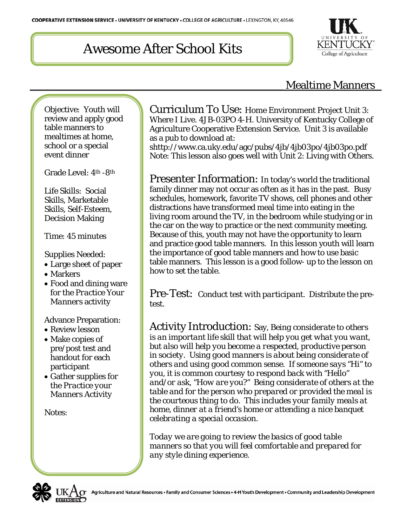# Awesome After School Kits



### Mealtime Manners

Objective: Youth will review and apply good table manners to mealtimes at home, school or a special event dinner

Grade Level: 4th -8th

Life Skills: Social Skills, Marketable Skills, Self-Esteem, Decision Making

Time: 45 minutes

Supplies Needed:

- Large sheet of paper
- Markers
- Food and dining ware for the *Practice Your Manners* activity

Advance Preparation:

- Review lesson
- Make copies of pre/post test and handout for each participant
- Gather supplies for the *Practice your Manners* Activity

Notes:

Curriculum To Use: Home Environment Project Unit 3: Where I Live. 4JB-03PO 4-H. University of Kentucky College of Agriculture Cooperative Extension Service. Unit 3 is available as a pub to download at:

shttp://www.ca.uky.edu/agc/pubs/4jb/4jb03po/4jb03po.pdf Note: This lesson also goes well with Unit 2: Living with Others.

Presenter Information: In today's world the traditional family dinner may not occur as often as it has in the past. Busy schedules, homework, favorite TV shows, cell phones and other distractions have transformed meal time into eating in the living room around the TV, in the bedroom while studying or in the car on the way to practice or the next community meeting. Because of this, youth may not have the opportunity to learn and practice good table manners. In this lesson youth will learn the importance of good table manners and how to use basic table manners. This lesson is a good follow- up to the lesson on how to set the table.

Pre-Test: *Conduct test with participant.* Distribute the pretest.

Activity Introduction: Say, *Being considerate to others is an important life skill that will help you get what you want, but also will help you become a respected, productive person in society. Using good manners is about being considerate of others and using good common sense. If someone says "Hi" to you, it is common courtesy to respond back with "Hello" and/or ask, "How are you?" Being considerate of others at the table and for the person who prepared or provided the meal is the courteous thing to do. This includes your family meals at home, dinner at a friend's home or attending a nice banquet celebrating a special occasion.* 

*Today we are going to review the basics of good table manners so that you will feel comfortable and prepared for any style dining experience.* 

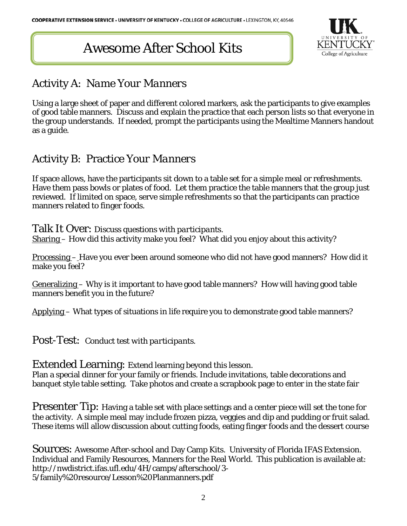# Awesome After School Kits



### Activity A: *Name Your Manners*

Using a large sheet of paper and different colored markers, ask the participants to give examples of good table manners. Discuss and explain the practice that each person lists so that everyone in the group understands. If needed, prompt the participants using the Mealtime Manners handout as a guide.

#### Activity B: Practice *Your Manners*

If space allows, have the participants sit down to a table set for a simple meal or refreshments. Have them pass bowls or plates of food. Let them practice the table manners that the group just reviewed. If limited on space, serve simple refreshments so that the participants can practice manners related to finger foods.

Talk It Over: *Discuss questions with participants.* Sharing – How did this activity make you feel? What did you enjoy about this activity?

Processing – Have you ever been around someone who did not have good manners? How did it make you feel?

Generalizing – Why is it important to have good table manners? How will having good table manners benefit you in the future?

Applying – What types of situations in life require you to demonstrate good table manners?

Post-Test: *Conduct test with participants.*

Extended Learning: Extend learning beyond this lesson.

Plan a special dinner for your family or friends. Include invitations, table decorations and banquet style table setting. Take photos and create a scrapbook page to enter in the state fair

Presenter Tip: Having a table set with place settings and a center piece will set the tone for the activity. A simple meal may include frozen pizza, veggies and dip and pudding or fruit salad. These items will allow discussion about cutting foods, eating finger foods and the dessert course

Sources: Awesome After-school and Day Camp Kits. University of Florida IFAS Extension. Individual and Family Resources, Manners for the Real World. This publication is available at: http://nwdistrict.ifas.ufl.edu/4H/camps/afterschool/3- 5/family%20resource/Lesson%20Planmanners.pdf